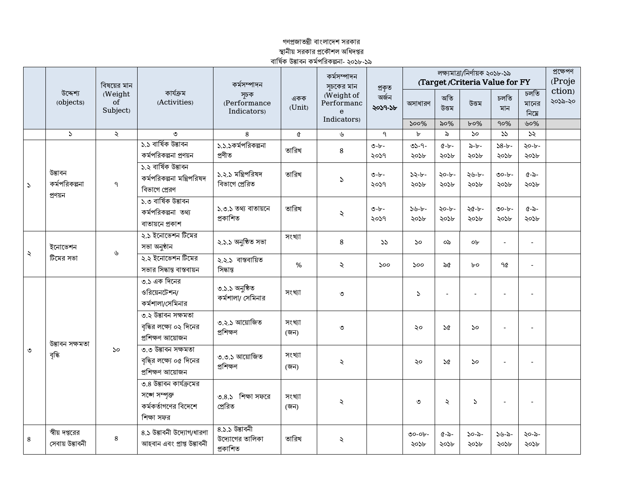## গণপ্রজাতন্ত্রী বাংলাদেশ সরকার স্থানীয় সরকার প্রকৌশল অধিদপ্তর<br>বার্ষিক উদ্ভাবন কর্মপরিকল্পনা- ২০১৮-১৯

|               | বিষয়ের মান<br>উদ্দেশ্য<br>(Weight<br>$\overline{\text{of}}$<br>(objects)<br>Subject) |           | কাৰ্যক্ৰম<br>(Activities)                                                      | কৰ্মসম্পাদন<br>সূচক<br>(Performance<br>Indicators) | একক<br>(Unit)  | কর্মসম্পাদন<br>সচকের মান                                | প্ৰকৃত                 | (Target/Criteria Value for FY | প্ৰক্ষেপণ<br>(Proje |                             |                          |                          |                   |
|---------------|---------------------------------------------------------------------------------------|-----------|--------------------------------------------------------------------------------|----------------------------------------------------|----------------|---------------------------------------------------------|------------------------|-------------------------------|---------------------|-----------------------------|--------------------------|--------------------------|-------------------|
|               |                                                                                       |           |                                                                                |                                                    |                | (Weight of<br>Performanc<br>$\mathbf{e}$<br>Indicators) | অৰ্জন<br>২০১৭-১৮       | অসাধারণ                       | অতি<br>উত্তম        | উত্তম                       | চলতি<br>মান              | চলতি<br>মানের<br>নিমে    | ction)<br>২০১৯-২০ |
|               |                                                                                       |           |                                                                                |                                                    |                |                                                         | $500\%$                | ৯০%                           | $b$ 0%              | 90%                         | ৬০%                      |                          |                   |
|               | $\mathcal{L}$                                                                         | $\lambda$ | ৩<br>১.১ বাৰ্ষিক উদ্ভাবন                                                       | 8                                                  | Q              | ৬                                                       | $\mathsf{P}$           | $\mathbf{b}$                  | $\delta$            | $50^{\circ}$                | 55                       | 55                       |                   |
|               |                                                                                       |           | কর্মপরিকল্পনা প্রণয়ন                                                          | ১.১.১কর্মপরিকল্পনা<br>প্ৰণীত                       | তারিখ          | 8                                                       | $\bullet -b -$<br>২০১৭ | $05 - 9 -$<br>২০১৮            | $C - b -$<br>২০১৮   | $\lambda - b -$<br>২০১৮     | $38 - b -$<br>২০১৮       | $20 - b -$<br>২০১৮       |                   |
| $\mathcal{L}$ | উদ্ভাবন<br>কর্মপরিকল্পনা<br>প্ৰণয়ন                                                   | ٩         | ১.২ বাৰ্ষিক উদ্ভাবন<br>কর্মপরিকল্পনা মন্ত্রিপরিষদ<br>বিভাগে প্রেরণ             | ১.২.১ মন্ত্রিপরিষদ<br>বিভাগে প্ৰেরিত               | তারিখ          | $\mathcal{L}$                                           | $0 - b -$<br>২০১৭      | $32 - b -$<br>২০১৮            | ২০-৮-<br>২০১৮       | ২৬-৮-<br>২০১৮               | $00 - b -$<br>২০১৮       | $6 - 5 -$<br>২০১৮        |                   |
|               |                                                                                       |           | ১.৩ বাৰ্ষিক উদ্ভাবন<br>কর্মপরিকল্পনা তথ্য<br>বাতায়নে প্রকাশ                   | ১.৩.১ তথ্য বাতায়নে<br>প্ৰকাশিত                    | তারিখ          | $\ddot{\sim}$                                           | $O-b$ -<br>২০১৭        | $5 - -$<br>২০১৮               | ২০-৮-<br>২০১৮       | ২৫-৮-<br>২০১৮               | $00 - b -$<br>২০১৮       | $\alpha$ -৯-<br>২০১৮     |                   |
| ২             | ইনোভেশন<br>টিমের সভা                                                                  | ৬         | ২.১ ইনোভেশন টিমের<br>সভা অনুষ্ঠান                                              | ২.১.১ অনুষ্ঠিত সভা                                 | সংখ্যা         | 8                                                       | 55                     | 50                            | ০৯                  | o <sub>b</sub>              |                          |                          |                   |
|               |                                                                                       |           | ২.২ ইনোভেশন টিমের<br>সভার সিদ্ধান্ত বাস্তবায়ন                                 | ২.২.১ বাস্তবায়িত<br>সিদ্ধান্ত                     | %              | $\lambda$                                               | 500                    | 500                           | ৯৫                  | $b$ o                       | ዓ৫                       | $\overline{a}$           |                   |
| ৩             | উদ্ভাবন সক্ষমতা<br>বৃদ্ধি                                                             | 50        | ৩.১ এক দিনের<br>ওরিয়েনটেশন/<br>কর্মশালা/সেমিনার                               | ৩.১.১ অনুষ্ঠিত<br>কর্মশালা/ সেমিনার                | সংখ্যা         | ৩                                                       |                        | $\mathcal{L}$                 |                     |                             |                          |                          |                   |
|               |                                                                                       |           | ৩.২ উদ্ভাবন সক্ষমতা<br>বৃদ্ধির লক্ষ্যে ০২ দিনের<br>প্ৰশিক্ষণ আয়োজন            | ৩.২.১ আয়োজিত<br>প্ৰশিক্ষণ                         | সংখ্যা<br>(জন) | ৩                                                       |                        | ২০                            | $\mathcal{A}$       | 50                          |                          | $\overline{\phantom{a}}$ |                   |
|               |                                                                                       |           | ৩.৩ উদ্ভাবন সক্ষমতা<br>বৃদ্ধির লক্ষ্যে ০৫ দিনের<br>প্ৰশিক্ষণ আয়োজন            | ৩.৩.১ আয়োজিত<br>প্ৰশিক্ষণ                         | সংখ্যা<br>(জন) | $\lambda$                                               |                        | ২০                            | ১৫                  | $\mathcal{S}^{\mathcal{O}}$ |                          | $\overline{a}$           |                   |
|               |                                                                                       |           | ৩.৪ উদ্ভাবন কার্যক্রমের<br>সঙ্গে সম্পক্ত<br>কর্মকর্তাগণের বিদেশে<br>শিক্ষা সফর | ৩.৪.১ শিক্ষা সফরে<br>প্ৰেরিত                       | সংখ্যা<br>(জন) | $\lambda$                                               |                        | ৩                             | ₹                   | $\mathcal{L}$               | $\overline{\phantom{a}}$ | $\overline{\phantom{a}}$ |                   |
| 8             | স্বীয় দপ্তরের<br>সেবায় উদ্ভাবনী                                                     | 8         | ৪.১ উদ্ভাবনী উদ্যোগ/ধারণা<br>আহবান এবং প্ৰাপ্ত উদ্ভাবনী                        | $8.5.5$ উদ্ভাবনী<br>উদ্যোগের তালিকা<br>প্ৰকাশিত    | তারিখ          | $\ddot{\sim}$                                           |                        | $00 - 0$ r-<br>২০১৮           | ৫-৯-<br>২০১৮        | ১০-৯-<br>২০১৮               | $5 - - -$<br>২০১৮        | ২০-৯-<br>২০১৮            |                   |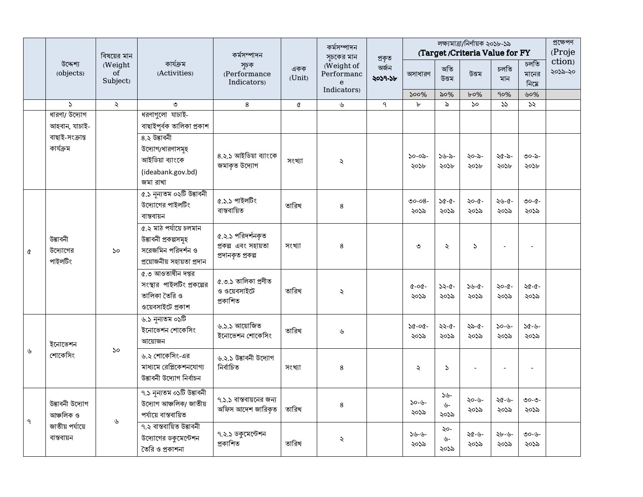|   | উদ্দেশ্য<br>(objects)                                         | বিষয়ের মান<br>(Weight<br>$\sigma$ <sup><math>\check{f}</math></sup><br>Subject) | কাৰ্যক্ৰম<br>(Activities)                                                                          | কৰ্মসম্পাদন<br>সূচক<br>(Performance<br>Indicators)            | একক<br>(Unit) | কৰ্মসম্পাদন<br>সূচকের মান<br>(Weight of<br>Performanc<br>$\mathbf{e}$<br>Indicators) | প্ৰকৃত           |                         | লক্ষ্যমাত্ৰা/নিৰ্ণায়ক ২০১৮-১৯<br>(Target/Criteria Value for FY |                                             |                    |                       | প্ৰক্ষেপণ<br>(Proje |
|---|---------------------------------------------------------------|----------------------------------------------------------------------------------|----------------------------------------------------------------------------------------------------|---------------------------------------------------------------|---------------|--------------------------------------------------------------------------------------|------------------|-------------------------|-----------------------------------------------------------------|---------------------------------------------|--------------------|-----------------------|---------------------|
|   |                                                               |                                                                                  |                                                                                                    |                                                               |               |                                                                                      | অৰ্জন<br>২০১৭-১৮ | অসাধারণ                 | অতি<br>উত্তম                                                    | উত্তম                                       | চলতি<br>মান        | চলতি<br>মানের<br>নিমে | ction)<br>২০১৯-২০   |
|   | $\mathcal{L}$                                                 | $\checkmark$                                                                     | ৩                                                                                                  | $\bf 8$                                                       | Q             | $\mathcal{G}$                                                                        | $\mathsf{P}$     | $500\%$<br>$\mathbf{b}$ | ৯০%<br>$\delta$                                                 | $b$ <sup>0</sup> %<br>$\mathcal{S}^{\circ}$ | 90%<br>55          | ৬০%<br>$\mathcal{S}$  |                     |
|   | ধারণা/ উদ্যোগ<br>আহবান, যাচাই-                                |                                                                                  | ধরণাগুলো যাচাই-<br>বাছাইপূৰ্বক তালিকা প্ৰকাশ                                                       |                                                               |               |                                                                                      |                  |                         |                                                                 |                                             |                    |                       |                     |
|   | বাছাই-সংক্ৰান্ত<br>কাৰ্যক্ৰম                                  |                                                                                  | ৪.২ উদ্ভাবনী<br>উদ্যোগ/ধারণাসমূহ<br>আইডিয়া ব্যাংকে<br>(ideabank.gov.bd)<br>জমা রাখা               | ৪.২.১ আইডিয়া ব্যাংকে<br>জমাকৃত উদ্যোগ                        | সংখ্যা        | $\ddot{\sim}$                                                                        |                  | $50 - 05 -$<br>২০১৮     | ১৬-৯-<br>২০১৮                                                   | ২০-৯-<br>২০১৮                               | ২৫-৯-<br>২০১৮      | ৩০-৯-<br>২০১৮         |                     |
|   | উত্তাবনী<br>উদ্যোগের<br>পাইলটিং                               | $\mathcal{S}^{\mathcal{O}}$                                                      | ৫.১ নৃন্যতম ০২টি উদ্ভাবনী<br>উদ্যোগের পাইলটিং<br>বাস্তবায়ন                                        | ৫.১.১ পাইলটিং<br>বাস্তবায়িত                                  | তারিখ         | 8                                                                                    |                  | $00 - 08 -$<br>২০১৯     | $36 - 6 -$<br>২০১৯                                              | ২০-৫-<br>২০১৯                               | ২৬-৫-<br>২০১৯      | ৩০-৫-<br>২০১৯         |                     |
| Q |                                                               |                                                                                  | ৫.২ মাঠ পৰ্যায়ে চলমান<br>উদ্ভাবনী প্ৰকল্পসমূহ<br>সরেজমিন পরিদর্শন ও<br>প্ৰয়োজনীয় সহায়তা প্ৰদান | ৫.২.১ পরিদর্শনকৃত<br>প্ৰকল্প এবং সহায়তা<br>প্ৰদানকৃত প্ৰকল্প | সংখ্যা        | 8                                                                                    |                  | ৩                       | $\ddot{\phantom{0}}$                                            | $\mathcal{L}$                               |                    | L.                    |                     |
|   |                                                               |                                                                                  | ৫.৩ আওতাধীন দপ্তর<br>সংস্থার পাইলটিং প্রকল্পের<br>তালিকা তৈরি ও<br>ওয়েবসাইটে প্ৰকাশ               | ৫.৩.১ তালিকা প্ৰণীত<br>ও ওয়েবসাইটে<br>প্ৰকাশিত               | তারিখ         | $\ddot{\sim}$                                                                        |                  | $0 - 00 -$<br>২০১৯      | ১২-৫-<br>২০১৯                                                   | $3 - 0 - 0$<br>২০১৯                         | ২০-৫-<br>২০১৯      | ২৫-৫-<br>২০১৯         |                     |
|   | ইনোভেশন<br>শোকেসিং                                            | $\mathcal{S}^{\mathcal{O}}$                                                      | ৬.১ নন্যতম ০১টি<br>ইনোভেশন শোকেসিং<br>আয়োজন                                                       | ৬.১.১ আয়োজিত<br>ইনোভেশন শোকেসিং                              | তারিখ         | ৬                                                                                    |                  | $30 - 00 -$<br>২০১৯     | ২২-৫-<br>২০১৯                                                   | ২৯-৫-<br>২০১৯                               | $30 - 6 -$<br>২০১৯ | $36 - 36$<br>২০১৯     |                     |
| ৬ |                                                               |                                                                                  | ৬.২ শোকেসিং-এর<br>মাধ্যমে রেপ্লিকেশনযোগ্য<br>উভাবনী উদ্যোগ নিৰ্বাচন                                | ৬.২.১ উদ্ভাবনী উদ্যোগ<br>নিৰ্বাচিত                            | সংখ্যা        | 8                                                                                    |                  | $\ddot{\sim}$           | $\mathcal{L}$                                                   |                                             |                    | $\overline{a}$        |                     |
| ٩ | উদ্ভাবনী উদ্যোগ<br>আঞ্চলিক ও<br>জাতীয় পর্যায়ে<br>বাস্তবায়ন | ৬                                                                                | ৭.১ নৃন্যতম ০১টি উদ্ভাবনী<br>উদ্যোগ আঞ্চলিক/ জাতীয়<br>পৰ্যায়ে বাস্তবায়িত                        | ৭.১.১ বাস্তবায়নের জন্য<br>অফিস আদেশ জারিকত                   | তারিখ         | 8                                                                                    |                  | $30 - 6 -$<br>২০১৯      | $55 -$<br>$\mathcal{V}$ -<br>২০১৯                               | ২০-৬-<br>২০১৯                               | ২৫-৬-<br>২০১৯      | ৩০-৩-<br>২০১৯         |                     |
|   |                                                               |                                                                                  | ৭.২ বাস্তবায়িত উদ্ভাবনী<br>উদ্যোগের ডকুমেন্টেশন<br>তৈরি ও প্রকাশনা                                | ৭.২.১ ডকুমেন্টেশন<br>প্ৰকাশিত                                 | তারিখ         | ২                                                                                    |                  | $38 - 6 -$<br>২০১৯      | ২০-<br>৬-<br>২০১৯                                               | ২৫-৬-<br>২০১৯                               | ২৮-৬-<br>২০১৯      | ৩০-৬-<br>২০১৯         |                     |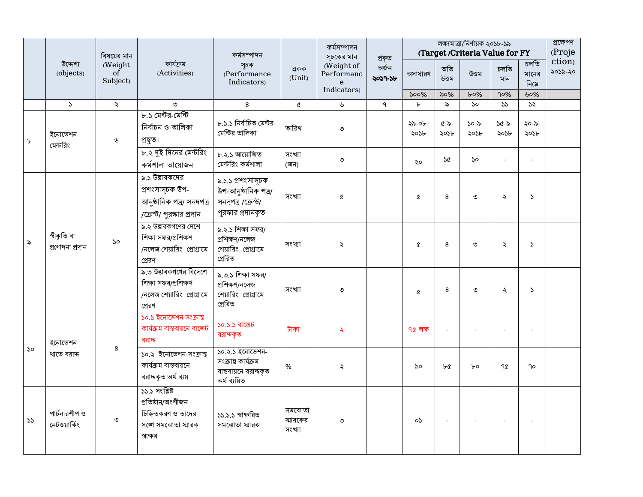|    | উদ্দেশ্য<br>(objects)             | বিষয়ের মান                                                       | কাৰ্যক্ৰম<br>(Activities)                                                                    | কর্মসম্পাদন<br>সূচক<br>(Performance<br>Indicators)                                  | একক<br>(Unit)                | কৰ্মসম্পাদন<br>সূচকের মান                               | প্ৰকৃত           |                | লক্ষ্যমাত্রা/নির্ণায়ক ২০১৮-১৯<br>(Target/Criteria Value for FY |                             |                    |                       |                   |
|----|-----------------------------------|-------------------------------------------------------------------|----------------------------------------------------------------------------------------------|-------------------------------------------------------------------------------------|------------------------------|---------------------------------------------------------|------------------|----------------|-----------------------------------------------------------------|-----------------------------|--------------------|-----------------------|-------------------|
|    |                                   | (Weight<br>$\sigma$ <sup><math>\check{f}</math></sup><br>Subject) |                                                                                              |                                                                                     |                              | (Weight of<br>Performanc<br>$\mathbf{e}$<br>Indicators) | অৰ্জন<br>২০১৭-১৮ | অসাধারণ        | অতি<br>উত্তম                                                    | উত্তম                       | চলতি<br>মান        | চলতি<br>মানের<br>নিমে | ction)<br>২০১৯-২০ |
|    |                                   |                                                                   |                                                                                              |                                                                                     |                              |                                                         |                  | $500\%$        | ৯০%                                                             | $b$ 0%                      | 90%                | ৬০%                   |                   |
|    | $\mathcal{L}$                     | $\ddot{\sim}$                                                     | ৩<br>৮.১ মেন্টর-মেন্টি                                                                       | 8                                                                                   | Q                            | ৬                                                       | $\mathsf{P}$     | $\mathbf{b}$   | $\delta$                                                        | $\mathcal{S}^{\mathcal{O}}$ | 55                 | 55                    |                   |
| ৮  | ইনোভেশন<br>মেন্টরিং               | ৬                                                                 | নিৰ্বাচন ও তালিকা<br>প্ৰস্থত।                                                                | ৮.১.১ নিৰ্বাচিত মেন্টর-<br>মেন্টির তালিকা                                           | তারিখ                        | ৩                                                       |                  | ২৯-০৮-<br>২০১৮ | $(1 - \delta)$<br>২০১৮                                          | ১০-৯-<br>২০১৮               | $36 - 5 -$<br>২০১৮ | ২০-৯-<br>২০১৮         |                   |
|    |                                   |                                                                   | ৮.২ দুই দিনের মেন্টরিং<br>কৰ্মশালা আয়োজন                                                    | ৮.২.১ আয়োজিত<br>মেন্টরিং কর্মশালা                                                  | সংখ্যা<br>(জন)               | ৩                                                       |                  | ২০             | ১৫                                                              | ১০                          |                    | ÷,                    |                   |
| ৯  | স্বীকৃতি বা<br>প্ৰণোদনা প্ৰদান    | $\mathcal{S}^{\mathcal{O}}$                                       | ৯.১ উত্তাবকদের<br>প্ৰশংসাসূচক উপ-<br>আনুষ্ঠানিক পত্ৰ/ সনদপত্ৰ<br>/ক্রেস্ট/ পুরস্কার প্রদান   | ৯.১.১ প্রশংসাসূচক<br>উপ-আনুষ্ঠানিক পত্ৰ/<br>সনদপত্ৰ /ক্ৰেস্ট/<br>পুরস্কার প্রদানকৃত | সংখ্যা                       | $\alpha$                                                |                  | Q              | 8                                                               | ৩                           | $\ddot{\sim}$      | $\mathcal{L}$         |                   |
|    |                                   |                                                                   | ৯.২ উদ্ভাবকগণের দেশে<br>শিক্ষা সফর/প্রশিক্ষণ<br>/নলেজ শেয়ারিং প্রোগ্রামে<br>প্ৰেরণ          | ৯.২.১ শিক্ষা সফর/<br>প্ৰশিক্ষণ/নলেজ<br>শেয়ারিং প্রোগ্রামে<br>প্ৰেরিত               | সংখ্যা                       | $\ddot{\sim}$                                           |                  | Q              | 8                                                               | ৩                           | $\ddot{\sim}$      | $\mathcal{L}$         |                   |
|    |                                   |                                                                   | ৯.৩ উদ্ভাবকগণের বিদেশে<br>শিক্ষা সফর/প্রশিক্ষণ<br>/নলেজ শেয়ারিং প্রোগ্রামে<br>প্ৰেরণ        | ৯.৩.১ শিক্ষা সফর/<br>প্ৰশিক্ষণ/নলেজ<br>শেয়ারিং প্রোগ্রামে<br>প্ৰেরিত               | সংখ্যা                       | ৩                                                       |                  | Q              | 8                                                               | ৩                           | ź.                 | $\mathcal{L}$         |                   |
| ১০ | ইনোভেশন<br>$\bf 8$<br>খাতে বরাদ্দ |                                                                   | ১০.১ ইনোভেশন সংক্রান্ত<br>কাৰ্যক্ৰম বাস্তবায়নে বাজেট<br>বরাদ                                | ১০.১.১ বাজেট<br>বরাদ্দকৃত                                                           | টাকা                         | $\mathcal{L}$                                           |                  | ৭৫ লক্ষ        |                                                                 |                             |                    | ÷,                    |                   |
|    |                                   |                                                                   | ১০.২ ইনোভেশন-সংক্ৰান্ত<br>কাৰ্যক্ৰম বাস্তবায়নে<br>বরাদ্দকৃত অর্থ ব্যয়                      | ১০.২.১ ইনোভেশন-<br>সংক্ৰান্ত কাৰ্যক্ৰম<br>বাস্তবায়নে বরাদ্দকৃত<br>অৰ্থ ব্যয়িত     | $\%$                         | $\ddot{\sim}$                                           |                  | ৯০             | ৮৫                                                              | $b$ o                       | 90                 | $90^{\circ}$          |                   |
| 55 | পার্টনারশীপ ও<br>নেটওয়ার্কিং     | $\circ$                                                           | ১১.১ সংশ্লিষ্ট<br>প্ৰতিষ্ঠান/অংশীজন<br>চিহ্নিতকরণ ও তাদের<br>সঙ্গে সমঝোতা স্মারক<br>স্বাক্ষর | ১১.১.১ স্বাক্ষরিত<br>সমঝোতা স্মারক                                                  | সমঝোতা<br>স্মারকের<br>সংখ্যা | ৩                                                       |                  | oS             |                                                                 |                             |                    |                       |                   |